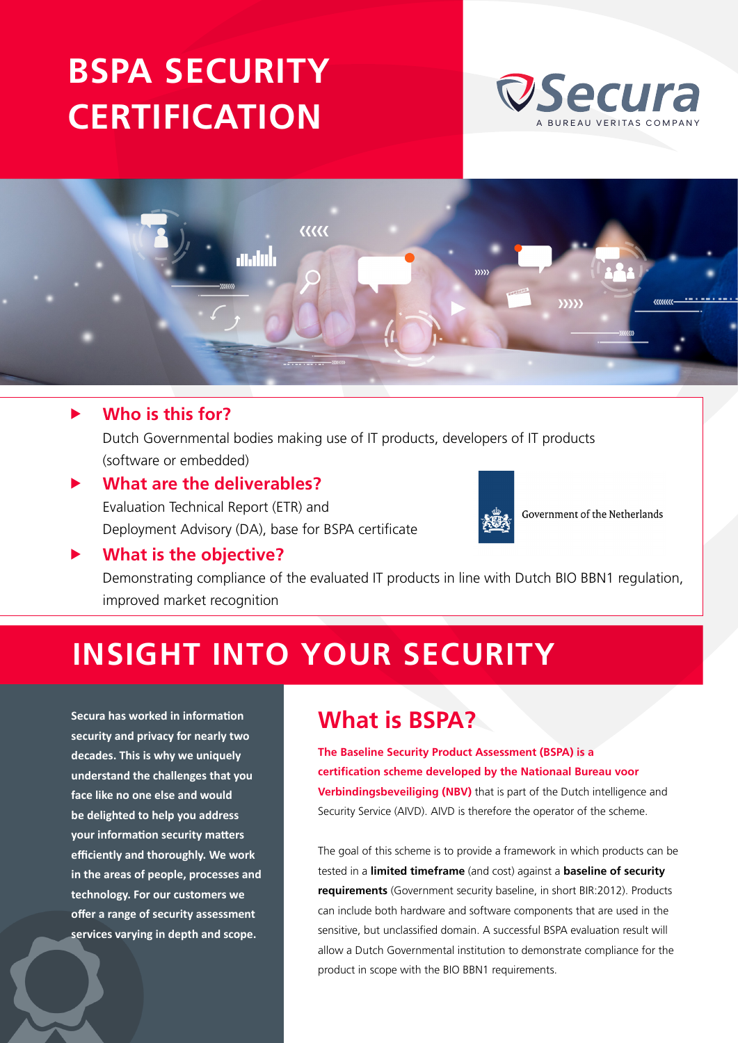# **[BSPA SECURITY](https://www.secura.com/services/iot/bspa) CERTIFICATION**





### **F** Who is this for?

Dutch Governmental bodies making use of IT products, developers of IT products (software or embedded)

### **What are the deliverables?** Evaluation Technical Report (ETR) and Deployment Advisory (DA), base for BSPA certificate



Government of the Netherlands

### **What is the objective?**

Demonstrating compliance of the evaluated IT products in line with Dutch BIO BBN1 regulation, improved market recognition

# **INSIGHT INTO YOUR SECURITY**

**Secura has worked in information security and privacy for nearly two decades. This is why we uniquely understand the challenges that you face like no one else and would be delighted to help you address your information security matters efficiently and thoroughly. We work in the areas of people, processes and technology. For our customers we offer a range of security assessment services varying in depth and scope.**

## **What is BSPA?**

**The Baseline Security Product Assessment (BSPA) is a certification scheme developed by the Nationaal Bureau voor Verbindingsbeveiliging (NBV)** that is part of the Dutch intelligence and Security Service (AIVD). AIVD is therefore the operator of the scheme.

The goal of this scheme is to provide a framework in which products can be tested in a **limited timeframe** (and cost) against a **baseline of security requirements** (Government security baseline, in short BIR:2012). Products can include both hardware and software components that are used in the sensitive, but unclassified domain. A successful BSPA evaluation result will allow a Dutch Governmental institution to demonstrate compliance for the product in scope with the BIO BBN1 requirements.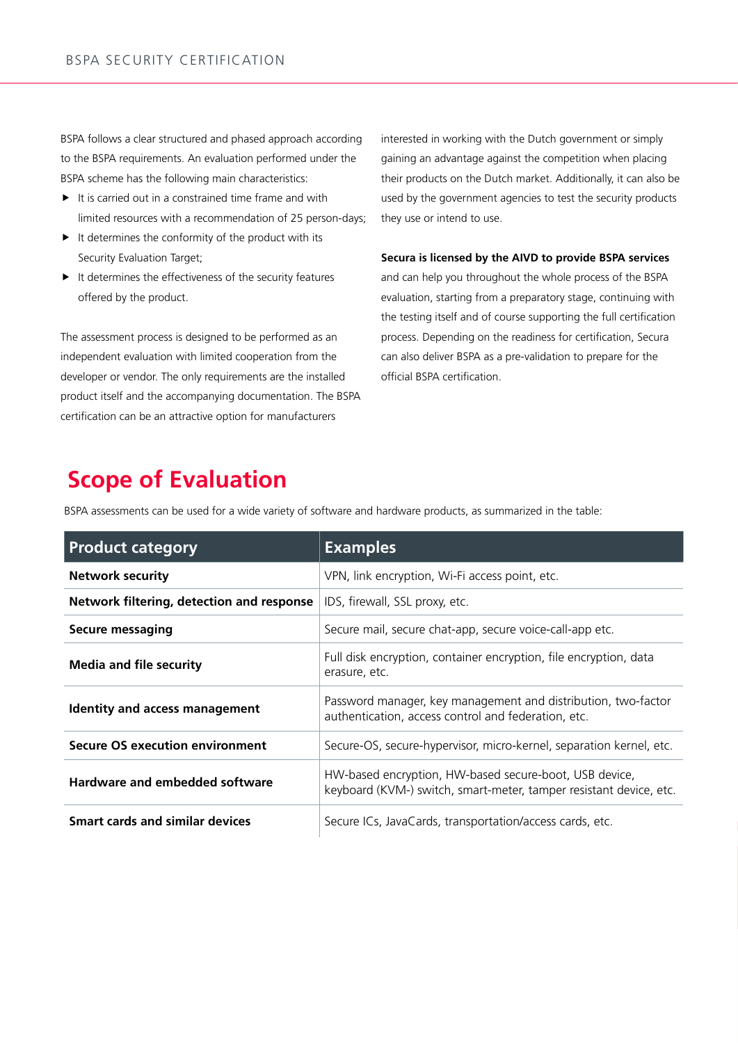BSPA follows a clear structured and phased approach according to the BSPA requirements. An evaluation performed under the BSPA scheme has the following main characteristics:

- $\blacktriangleright$  It is carried out in a constrained time frame and with limited resources with a recommendation of 25 person-days;
- $\blacktriangleright$  It determines the conformity of the product with its Security Evaluation Target;
- $\blacktriangleright$  It determines the effectiveness of the security features offered by the product.

The assessment process is designed to be performed as an independent evaluation with limited cooperation from the developer or vendor. The only requirements are the installed product itself and the accompanying documentation. The BSPA certification can be an attractive option for manufacturers

interested in working with the Dutch government or simply gaining an advantage against the competition when placing their products on the Dutch market. Additionally, it can also be used by the government agencies to test the security products they use or intend to use.

#### **Secura is licensed by the AIVD to provide BSPA services**

and can help you throughout the whole process of the BSPA evaluation, starting from a preparatory stage, continuing with the testing itself and of course supporting the full certification process. Depending on the readiness for certification, Secura can also deliver BSPA as a pre-validation to prepare for the official BSPA certification.

## **Scope of Evaluation**

BSPA assessments can be used for a wide variety of software and hardware products, as summarized in the table:

| <b>Product category</b>                   | <b>Examples</b>                                                                                                              |
|-------------------------------------------|------------------------------------------------------------------------------------------------------------------------------|
| <b>Network security</b>                   | VPN, link encryption, Wi-Fi access point, etc.                                                                               |
| Network filtering, detection and response | IDS, firewall, SSL proxy, etc.                                                                                               |
| Secure messaging                          | Secure mail, secure chat-app, secure voice-call-app etc.                                                                     |
| <b>Media and file security</b>            | Full disk encryption, container encryption, file encryption, data<br>erasure, etc.                                           |
| Identity and access management            | Password manager, key management and distribution, two-factor<br>authentication, access control and federation, etc.         |
| <b>Secure OS execution environment</b>    | Secure-OS, secure-hypervisor, micro-kernel, separation kernel, etc.                                                          |
| Hardware and embedded software            | HW-based encryption, HW-based secure-boot, USB device,<br>keyboard (KVM-) switch, smart-meter, tamper resistant device, etc. |
| <b>Smart cards and similar devices</b>    | Secure ICs, JavaCards, transportation/access cards, etc.                                                                     |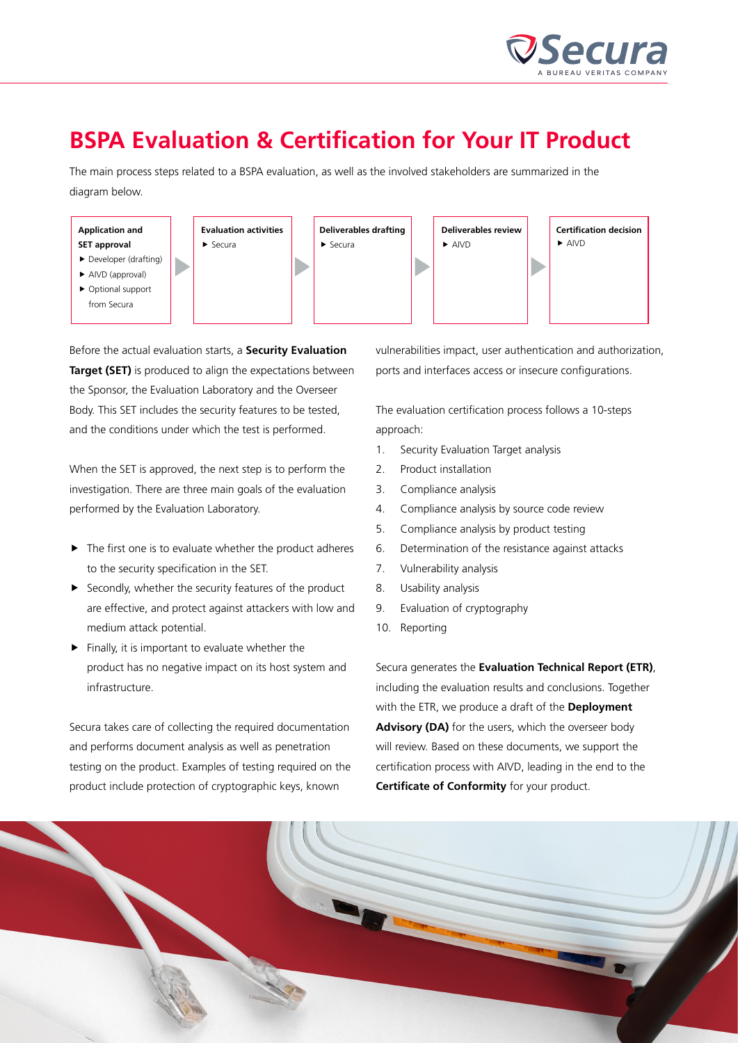

## **BSPA Evaluation & Certification for Your IT Product**

The main process steps related to a BSPA evaluation, as well as the involved stakeholders are summarized in the diagram below.



Before the actual evaluation starts, a **Security Evaluation Target (SET)** is produced to align the expectations between the Sponsor, the Evaluation Laboratory and the Overseer Body. This SET includes the security features to be tested, and the conditions under which the test is performed.

When the SET is approved, the next step is to perform the investigation. There are three main goals of the evaluation performed by the Evaluation Laboratory.

- $\blacktriangleright$  The first one is to evaluate whether the product adheres to the security specification in the SET.
- $\blacktriangleright$  Secondly, whether the security features of the product are effective, and protect against attackers with low and medium attack potential.
- $\blacktriangleright$  Finally, it is important to evaluate whether the product has no negative impact on its host system and infrastructure.

Secura takes care of collecting the required documentation and performs document analysis as well as penetration testing on the product. Examples of testing required on the product include protection of cryptographic keys, known

vulnerabilities impact, user authentication and authorization, ports and interfaces access or insecure configurations.

The evaluation certification process follows a 10-steps approach:

- 1. Security Evaluation Target analysis
- 2. Product installation
- 3. Compliance analysis
- 4. Compliance analysis by source code review
- 5. Compliance analysis by product testing
- 6. Determination of the resistance against attacks
- 7. Vulnerability analysis
- 8. Usability analysis
- 9. Evaluation of cryptography
- 10. Reporting

Secura generates the **Evaluation Technical Report (ETR)**, including the evaluation results and conclusions. Together with the ETR, we produce a draft of the **Deployment Advisory (DA)** for the users, which the overseer body will review. Based on these documents, we support the certification process with AIVD, leading in the end to the **Certificate of Conformity** for your product.